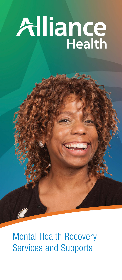# Alliance

Mental Health Recovery Services and Supports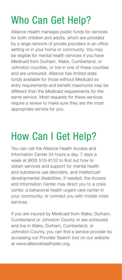## Who Can Get Help?

Alliance Health manages public funds for services for both children and adults, which are provided by a large network of private providers in an office setting or in your home or community. You may be eligible for mental health services if you have Medicaid from Durham, Wake, Cumberland, or Johnston counties, or live in one of these counties and are uninsured. Alliance has limited state funds available for those without Medicaid so entry requirements and benefit maximums may be different than the Medicaid requirements for the same service. Most requests for these services require a review to make sure they are the most appropriate service for you.

## How Can I Get Help?

You can call the Alliance Health Access and Information Center 24 hours a day, 7 days a week at (800) 510-9132 to find out how to obtain services and support for mental health and substance use disorders, and intellectual/ developmental disabilities. If needed, the Access and Information Center may direct you to a crisis center, a behavioral health urgent care center in your community, or connect you with mobile crisis services.

If you are insured by Medicaid from Wake, Durham, Cumberland or Johnston County or are uninsured and live in Wake, Durham, Cumberland, or Johnston County, you can find a service provider by accessing our Provider Search tool on our website at www.alliancehealthplan.org.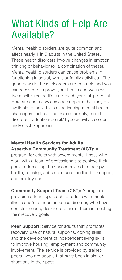## What Kinds of Help Are Available?

Mental health disorders are quite common and affect nearly 1 in 5 adults in the United States. These health disorders involve changes in emotion, thinking or behavior (or a combination of these). Mental health disorders can cause problems in functioning in social, work, or family activities. The good news is these disorders are treatable and you can recover to improve your health and wellness, live a self-directed life, and reach your full potential. Here are some services and supports that may be available to individuals experiencing mental health challenges such as depression, anxiety, mood disorders, attention-deficit/ hyperactivity disorder, and/or schizophrenia:

#### Mental Health Services for Adults Assertive Community Treatment (ACT): A

program for adults with severe mental illness who work with a team of professionals to achieve their goals, addressing their needs related to therapy, health, housing, substance use, medication support, and employment.

Community Support Team (CST): A program providing a team approach for adults with mental illness and/or a substance use disorder, who have complex needs, designed to assist them in meeting their recovery goals.

Peer Support: Service for adults that promotes recovery, use of natural supports, coping skills, and the development of independent living skills to improve housing, employment and community involvement. The service is provided by trained peers, who are people that have been in similar situations in their past.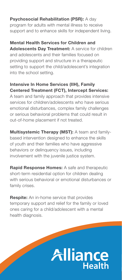#### Psychosocial Rehabilitation (PSR): A day

program for adults with mental illness to receive support and to enhance skills for independent living.

#### Mental Health Services for Children and

Adolescents Day Treatment: A service for children and adolescents and their families focused on providing support and structure in a therapeutic setting to support the child/adolescent's integration into the school setting.

#### Intensive In Home Services (IIH), Family Centered Treatment (FCT), Intercept Services:

A team and family approach that provides intensive services for children/adolescents who have serious emotional disturbances, complex family challenges or serious behavioral problems that could result in out-of-home placement if not treated.

Multisystemic Therapy (MST): A team and familybased intervention designed to enhance the skills of youth and their families who have aggressive behaviors or delinquency issues, including involvement with the juvenile justice system.

Rapid Response Homes: A safe and therapeutic short-term residential option for children dealing with serious behavioral or emotional disturbances or family crises.

**Respite:** An in-home service that provides temporary support and relief for the family or loved ones caring for a child/adolescent with a mental health diagnosis.

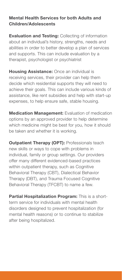#### Mental Health Services for both Adults and Children/Adolescents

**Evaluation and Testing: Collecting of information** about an individual's history, strengths, needs and abilities in order to better develop a plan of services and supports. This can include evaluation by a therapist, psychologist or psychiatrist

**Housing Assistance:** Once an individual is receiving services, their provider can help them decide which residential supports they will need to achieve their goals. This can include various kinds of assistance, like rent subsidies and help with start-up expenses, to help ensure safe, stable housing.

**Medication Management:** Evaluation of medication options by an approved provider to help determine which medicine might be best for you, how it should be taken and whether it is working.

**Outpatient Therapy (OPT): Professionals teach** new skills or ways to cope with problems in individual, family or group settings. Our providers offer many different evidenced-based practices within outpatient therapy, such as Cognitive Behavioral Therapy (CBT), Dialectical Behavior Therapy (DBT), and Trauma Focused Cognitive Behavioral Therapy (TFCBT) to name a few.

Partial Hospitalization Program: This is a shortterm service for individuals with mental health disorders designed to prevent hospitalization (for mental health reasons) or to continue to stabilize after being hospitalized.